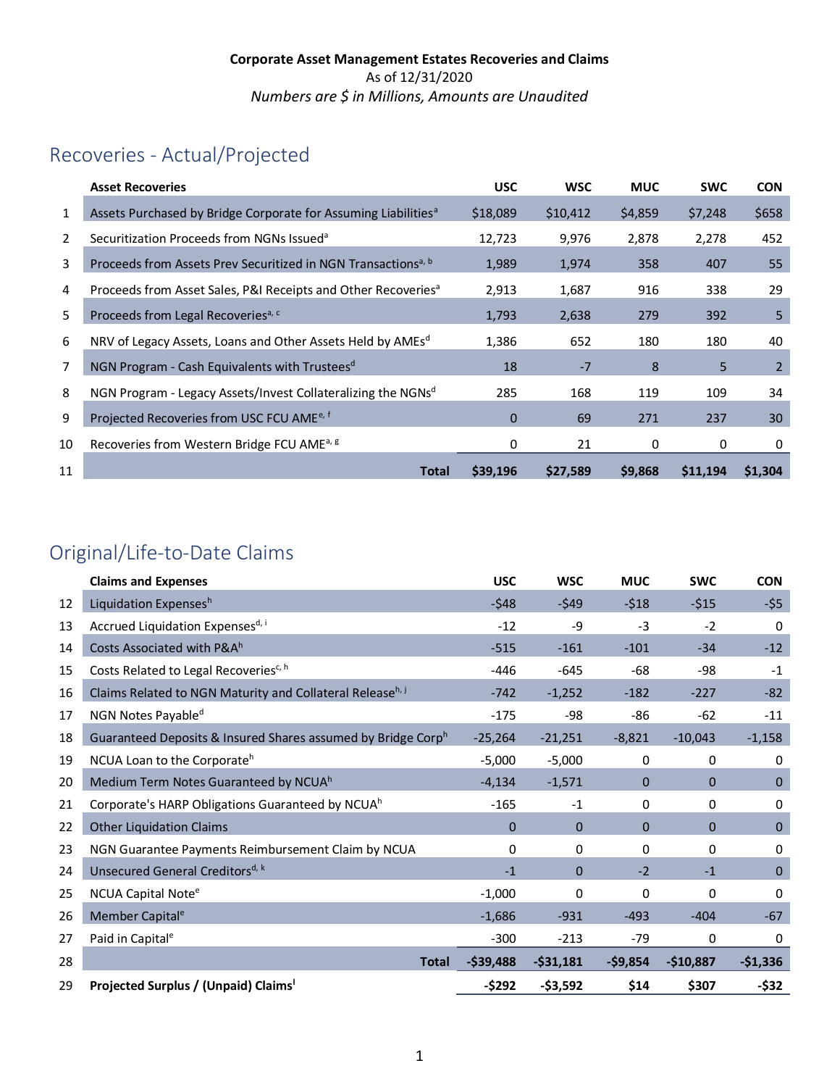# Recoveries - Actual/Projected

|                | <b>Asset Recoveries</b>                                                    | <b>USC</b>  | <b>WSC</b> | <b>MUC</b> | <b>SWC</b> | <b>CON</b>     |
|----------------|----------------------------------------------------------------------------|-------------|------------|------------|------------|----------------|
| 1              | Assets Purchased by Bridge Corporate for Assuming Liabilities <sup>a</sup> | \$18,089    | \$10,412   | \$4,859    | \$7,248    | \$658          |
| $\overline{2}$ | Securitization Proceeds from NGNs Issued <sup>a</sup>                      | 12,723      | 9,976      | 2,878      | 2,278      | 452            |
| 3              | Proceeds from Assets Prev Securitized in NGN Transactions <sup>a, b</sup>  | 1,989       | 1,974      | 358        | 407        | 55             |
| 4              | Proceeds from Asset Sales, P&I Receipts and Other Recoveries <sup>a</sup>  | 2,913       | 1,687      | 916        | 338        | 29             |
| 5              | Proceeds from Legal Recoveries <sup>a, c</sup>                             | 1,793       | 2,638      | 279        | 392        | 5              |
| 6              | NRV of Legacy Assets, Loans and Other Assets Held by AMEs <sup>d</sup>     | 1,386       | 652        | 180        | 180        | 40             |
| 7              | NGN Program - Cash Equivalents with Trustees <sup>d</sup>                  | 18          | $-7$       | 8          | 5          | $\overline{2}$ |
| 8              | NGN Program - Legacy Assets/Invest Collateralizing the NGNs <sup>d</sup>   | 285         | 168        | 119        | 109        | 34             |
| 9              | Projected Recoveries from USC FCU AME <sup>e, f</sup>                      | $\mathbf 0$ | 69         | 271        | 237        | 30             |
| 10             | Recoveries from Western Bridge FCU AME <sup>a, g</sup>                     | 0           | 21         | 0          | 0          | 0              |
| 11             | <b>Total</b>                                                               | \$39,196    | \$27,589   | \$9,868    | \$11,194   | \$1,304        |

# Original/Life-to-Date Claims

|    | <b>Claims and Expenses</b>                                            | <b>USC</b>  | <b>WSC</b>   | <b>MUC</b>   | <b>SWC</b>   | <b>CON</b>   |
|----|-----------------------------------------------------------------------|-------------|--------------|--------------|--------------|--------------|
| 12 | Liquidation Expensesh                                                 | $-548$      | $-549$       | $-518$       | $-515$       | -\$5         |
| 13 | Accrued Liquidation Expensesd, i                                      | $-12$       | $-9$         | $-3$         | $-2$         | $\Omega$     |
| 14 | Costs Associated with P&Ah                                            | $-515$      | $-161$       | $-101$       | $-34$        | $-12$        |
| 15 | Costs Related to Legal Recoveries <sup>c, h</sup>                     | $-446$      | $-645$       | $-68$        | -98          | $-1$         |
| 16 | Claims Related to NGN Maturity and Collateral Release <sup>h, j</sup> | $-742$      | $-1,252$     | $-182$       | $-227$       | $-82$        |
| 17 | NGN Notes Payable <sup>d</sup>                                        | $-175$      | $-98$        | $-86$        | $-62$        | $-11$        |
| 18 | Guaranteed Deposits & Insured Shares assumed by Bridge Corph          | $-25,264$   | $-21,251$    | $-8,821$     | $-10,043$    | $-1,158$     |
| 19 | NCUA Loan to the Corporateh                                           | $-5,000$    | $-5,000$     | $\mathbf 0$  | 0            | 0            |
| 20 | Medium Term Notes Guaranteed by NCUA <sup>h</sup>                     | $-4,134$    | $-1,571$     | $\mathbf{0}$ | $\mathbf{0}$ | $\mathbf{0}$ |
| 21 | Corporate's HARP Obligations Guaranteed by NCUA <sup>h</sup>          | $-165$      | $-1$         | 0            | 0            | 0            |
| 22 | <b>Other Liquidation Claims</b>                                       | $\mathbf 0$ | $\mathbf{0}$ | $\Omega$     | $\Omega$     | $\mathbf 0$  |
| 23 | NGN Guarantee Payments Reimbursement Claim by NCUA                    | 0           | $\Omega$     | $\Omega$     | 0            | $\Omega$     |
| 24 | Unsecured General Creditors <sup>d, k</sup>                           | $-1$        | $\Omega$     | $-2$         | $-1$         | $\mathbf{0}$ |
| 25 | NCUA Capital Note <sup>e</sup>                                        | $-1,000$    | 0            | 0            | $\mathbf{0}$ | 0            |
| 26 | Member Capital <sup>e</sup>                                           | $-1,686$    | $-931$       | $-493$       | $-404$       | $-67$        |
| 27 | Paid in Capital <sup>e</sup>                                          | $-300$      | $-213$       | $-79$        | $\mathbf{0}$ | $\Omega$     |
| 28 | <b>Total</b>                                                          | $-539,488$  | $-531,181$   | $-59,854$    | $-$10,887$   | $-$1,336$    |
| 29 | Projected Surplus / (Unpaid) Claims'                                  | -\$292      | $-53,592$    | \$14         | \$307        | $-532$       |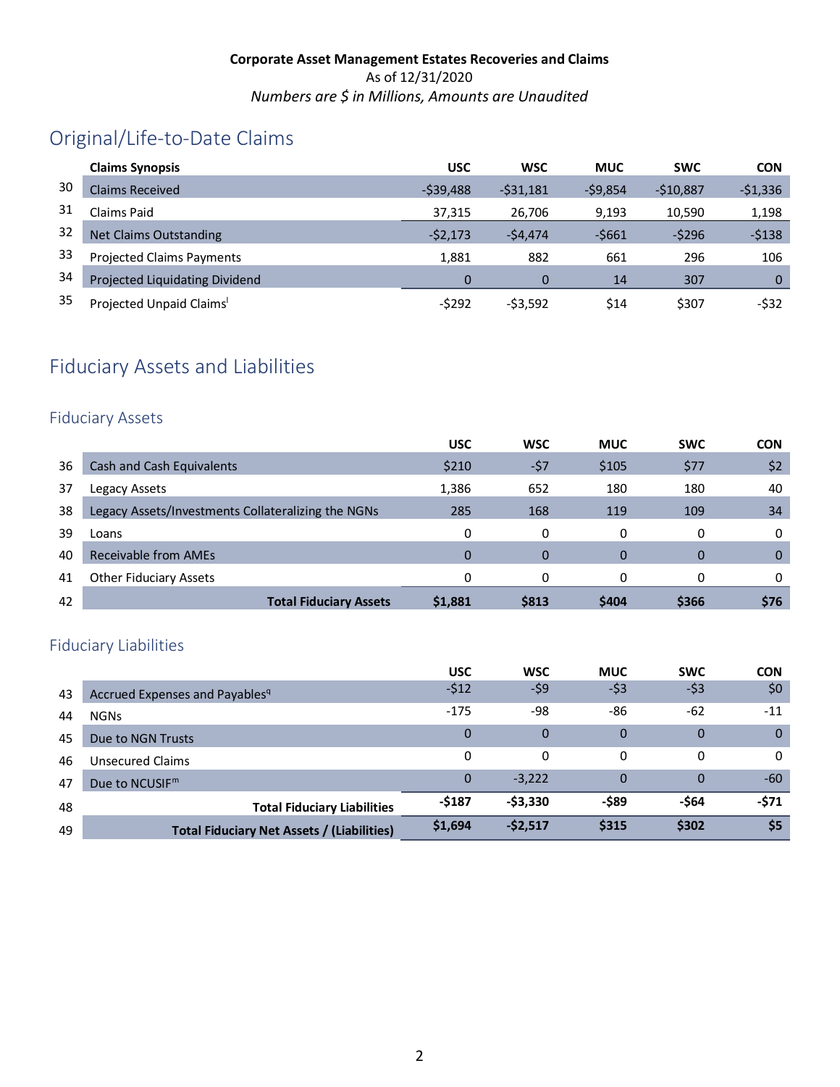# Original/Life-to-Date Claims

|    | <b>Claims Synopsis</b>               | <b>USC</b> | <b>WSC</b> | <b>MUC</b> | <b>SWC</b> | <b>CON</b>  |
|----|--------------------------------------|------------|------------|------------|------------|-------------|
| 30 | Claims Received                      | $-539.488$ | $-531,181$ | $-59,854$  | $-510.887$ | $-51,336$   |
| 31 | Claims Paid                          | 37,315     | 26.706     | 9,193      | 10,590     | 1,198       |
| 32 | <b>Net Claims Outstanding</b>        | $-52,173$  | $-54,474$  | $-5661$    | $-5296$    | $-5138$     |
| 33 | <b>Projected Claims Payments</b>     | 1.881      | 882        | 661        | 296        | 106         |
| 34 | Projected Liquidating Dividend       |            |            | 14         | 307        | $\mathbf 0$ |
| 35 | Projected Unpaid Claims <sup>1</sup> | $-5292$    | $-53,592$  | \$14       | \$307      | $-532$      |

# Fiduciary Assets and Liabilities

#### Fiduciary Assets

|    |                                                    | <b>USC</b> | <b>WSC</b> | <b>MUC</b> | <b>SWC</b> | <b>CON</b> |
|----|----------------------------------------------------|------------|------------|------------|------------|------------|
| 36 | Cash and Cash Equivalents                          | \$210      | -\$7       | \$105      | \$77       | \$2        |
| 37 | Legacy Assets                                      | 1,386      | 652        | 180        | 180        | 40         |
| 38 | Legacy Assets/Investments Collateralizing the NGNs | 285        | 168        | 119        | 109        | 34         |
| 39 | Loans                                              | 0          | 0          | 0          | 0          | 0          |
| 40 | Receivable from AMEs                               | 0          | $\Omega$   | $\Omega$   | 0          | 0          |
| 41 | <b>Other Fiduciary Assets</b>                      | 0          | 0          | 0          | 0          | 0          |
| 42 | <b>Total Fiduciary Assets</b>                      | \$1,881    | \$813      | \$404      | \$366      | \$76       |

### Fiduciary Liabilities

|    |                                                   | <b>USC</b>   | <b>WSC</b>  | <b>MUC</b> | <b>SWC</b> | <b>CON</b>   |
|----|---------------------------------------------------|--------------|-------------|------------|------------|--------------|
| 43 | Accrued Expenses and Payables <sup>q</sup>        | $-512$       | -\$9        | $-53$      | $-53$      | \$0          |
| 44 | <b>NGNs</b>                                       | $-175$       | -98         | -86        | $-62$      | $-11$        |
| 45 | Due to NGN Trusts                                 | $\mathbf{0}$ | $\Omega$    | $\Omega$   | 0          | $\mathbf{0}$ |
| 46 | Unsecured Claims                                  | 0            | 0           | 0          | 0          | 0            |
| 47 | Due to NCUSIF <sup>m</sup>                        | $\Omega$     | $-3,222$    | $\Omega$   | 0          | $-60$        |
| 48 | <b>Total Fiduciary Liabilities</b>                | -\$187       | $-$ \$3,330 | -\$89      | -\$64      | $-571$       |
| 49 | <b>Total Fiduciary Net Assets / (Liabilities)</b> | \$1,694      | $-52,517$   | \$315      | \$302      | \$5          |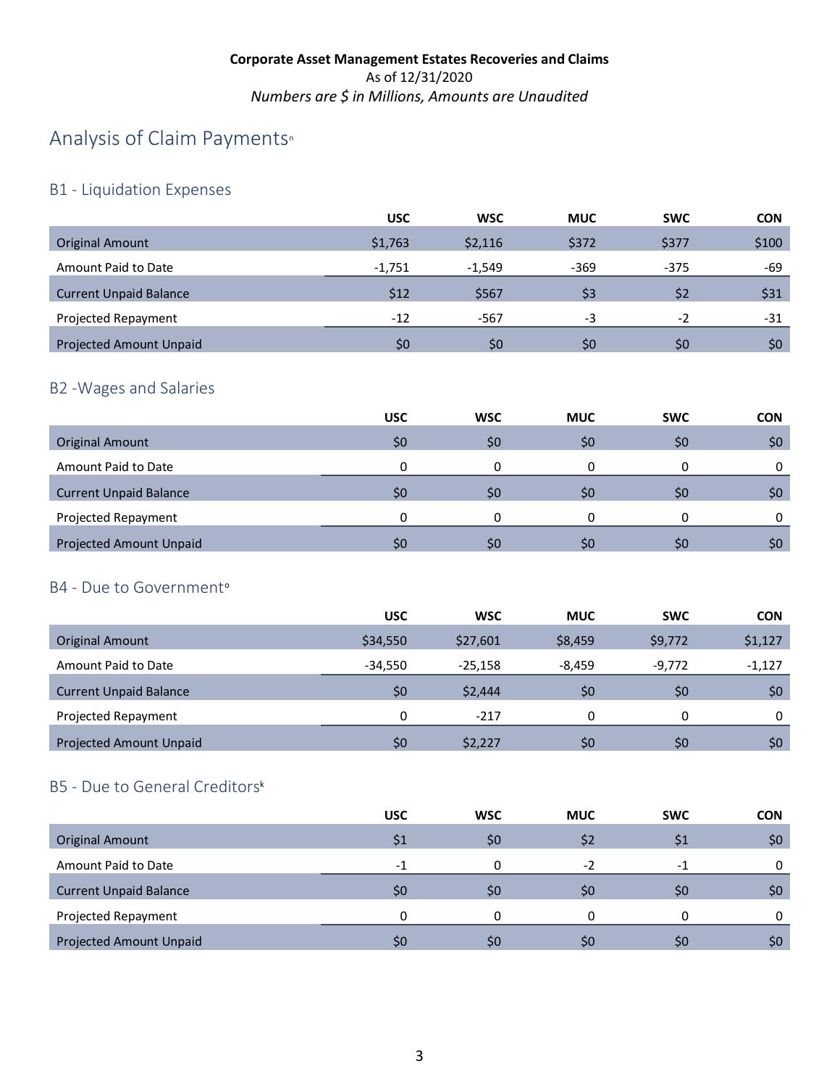# A[n](#page-4-21)alysis of Claim Payments<sup>®</sup>

## B1 - Liquidation Expenses

|                                | <b>USC</b> | <b>WSC</b> | <b>MUC</b> | <b>SWC</b> | <b>CON</b>   |
|--------------------------------|------------|------------|------------|------------|--------------|
| <b>Original Amount</b>         | \$1,763    | \$2,116    | \$372      | \$377      | \$100        |
| Amount Paid to Date            | $-1,751$   | $-1,549$   | $-369$     | $-375$     | -69          |
| <b>Current Unpaid Balance</b>  | \$12       | \$567      | \$3        | \$2        | \$31         |
| Projected Repayment            | $-12$      | $-567$     | -3         | $-2$       | -31          |
| <b>Projected Amount Unpaid</b> | \$0        | 50         | \$0        | \$0        | $50^{\circ}$ |

### B2 -Wages and Salaries

|                                | <b>USC</b> | <b>WSC</b> | <b>MUC</b> | <b>SWC</b> | <b>CON</b> |
|--------------------------------|------------|------------|------------|------------|------------|
| <b>Original Amount</b>         | \$0        | \$0        | \$0        | \$0        | \$0        |
| Amount Paid to Date            | 0          |            |            | 0          | 0          |
| <b>Current Unpaid Balance</b>  | \$0        | \$C        | \$0        | Ş0         | \$0        |
| Projected Repayment            | n          |            |            | 0          | 0          |
| <b>Projected Amount Unpaid</b> | \$0        | S0         | \$0        | S0         | \$0        |

### B4 - Due t[o](#page-4-22) Government<sup>o</sup>

|                                | <b>USC</b> | <b>WSC</b> | <b>MUC</b> | <b>SWC</b> | <b>CON</b> |
|--------------------------------|------------|------------|------------|------------|------------|
| Original Amount                | \$34,550   | \$27,601   | \$8,459    | \$9,772    | \$1,127    |
| Amount Paid to Date            | $-34.550$  | $-25.158$  | $-8.459$   | $-9,772$   | $-1,127$   |
| <b>Current Unpaid Balance</b>  | \$0        | \$2,444    | \$0        | \$0        | \$0        |
| Projected Repayment            | 0          | $-217$     | 0          | 0          | 0          |
| <b>Projected Amount Unpaid</b> | \$0        | \$2,227    | \$0        | \$0        | \$0        |

## B5 - Due to General Creditor[s](#page-4-20)k

|                                | <b>USC</b> | <b>WSC</b> | <b>MUC</b>   | <b>SWC</b> | <b>CON</b> |
|--------------------------------|------------|------------|--------------|------------|------------|
| <b>Original Amount</b>         | S1         | \$0        | \$2          | \$1        | \$0        |
| Amount Paid to Date            | $-1$       | 0          | $-2$         | -1         |            |
| <b>Current Unpaid Balance</b>  | \$0        | \$0        | \$0          | S0         | \$0        |
| Projected Repayment            | n          | n          | 0            | 0          |            |
| <b>Projected Amount Unpaid</b> | \$0        | \$0        | $50^{\circ}$ | S0         | \$O        |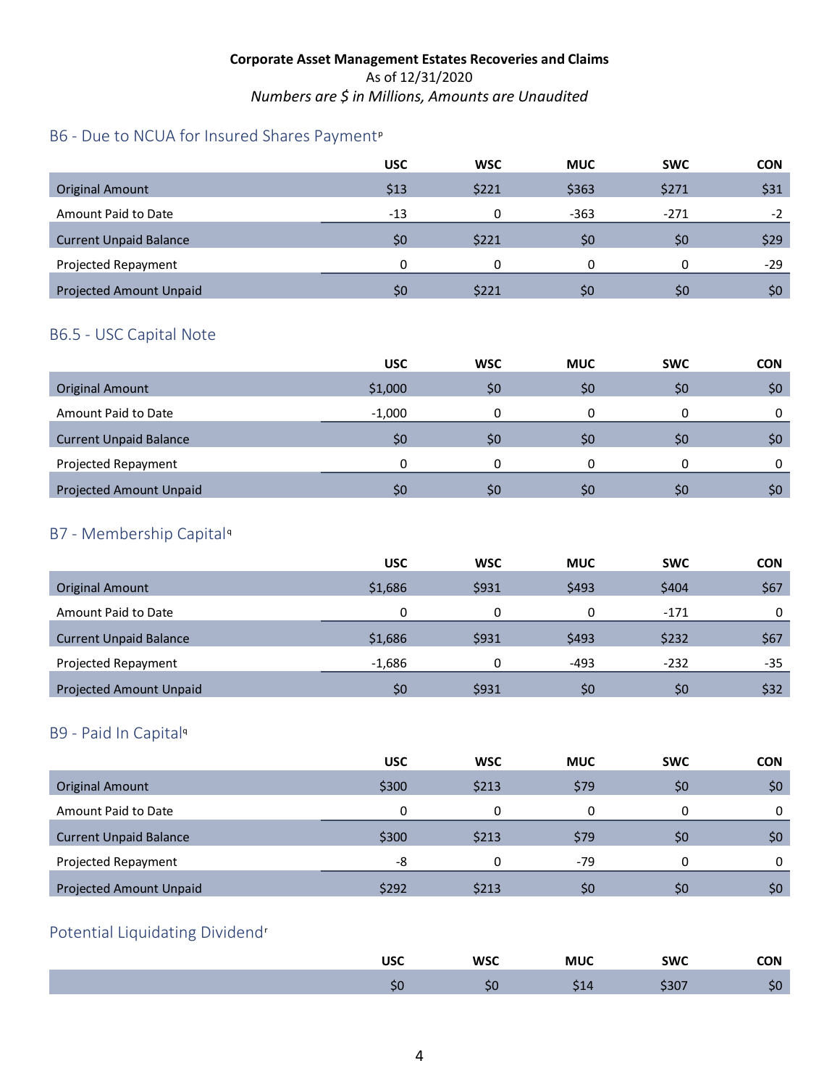### B6 - Due to NCUA for Insured Shares Payment<su[p](#page-4-23)>p</sup>

|                                | <b>USC</b> | <b>WSC</b> | <b>MUC</b> | <b>SWC</b> | <b>CON</b> |
|--------------------------------|------------|------------|------------|------------|------------|
| <b>Original Amount</b>         | \$13       | \$221      | \$363      | \$271      | \$31       |
| Amount Paid to Date            | $-13$      | n          | $-363$     | $-271$     | $-2$       |
| <b>Current Unpaid Balance</b>  | \$0        | \$221      | \$0        | \$0        | \$29       |
| Projected Repayment            | 0          | 0          | 0          | 0          | $-29$      |
| <b>Projected Amount Unpaid</b> | S0         | \$221      | \$0        | \$0        | \$0        |

#### B6.5 - USC Capital Note

|                                | <b>USC</b> | <b>WSC</b> | <b>MUC</b> | <b>SWC</b> | <b>CON</b> |
|--------------------------------|------------|------------|------------|------------|------------|
| <b>Original Amount</b>         | \$1,000    | \$0        | \$0        | \$0        | \$0        |
| Amount Paid to Date            | $-1,000$   |            |            |            |            |
| <b>Current Unpaid Balance</b>  | \$0        | \$0        | \$0        | \$0        | \$0        |
| Projected Repayment            |            |            |            |            |            |
| <b>Projected Amount Unpaid</b> | \$0        | \$0        | \$0        | \$0        | \$0        |

### B7 - Membership Capital[q](#page-4-24)

|                                | <b>USC</b> | <b>WSC</b> | <b>MUC</b> | <b>SWC</b> | <b>CON</b> |
|--------------------------------|------------|------------|------------|------------|------------|
| <b>Original Amount</b>         | \$1,686    | \$931      | \$493      | \$404      | \$67       |
| Amount Paid to Date            | 0          | 0          | 0          | $-171$     | 0          |
| <b>Current Unpaid Balance</b>  | \$1,686    | \$931      | \$493      | \$232      | \$67       |
| Projected Repayment            | $-1,686$   | 0          | $-493$     | $-232$     | -35        |
| <b>Projected Amount Unpaid</b> | \$0        | \$931      | \$0        | \$0        | \$32       |

#### B9 - Paid In Capita[l](#page-4-18)<sup>q</sup>

|                                | <b>USC</b> | <b>WSC</b> | <b>MUC</b> | <b>SWC</b> | <b>CON</b> |
|--------------------------------|------------|------------|------------|------------|------------|
| <b>Original Amount</b>         | \$300      | \$213      | \$79       | \$0        | \$0        |
| Amount Paid to Date            | 0          |            |            | 0          | 0          |
| <b>Current Unpaid Balance</b>  | \$300      | \$213      | \$79       | \$0        | \$0        |
| Projected Repayment            | -8         | ŋ          | $-79$      | 0          | 0          |
| <b>Projected Amount Unpaid</b> | \$292      | \$213      | \$0        | \$0        | \$0        |

## Potential Liquidating Dividend[r](#page-4-25)

| USC | <b>WSC</b> | <b>MUC</b> | <b>SWC</b> | <b>CON</b> |
|-----|------------|------------|------------|------------|
| J۱  | ುರ         |            | ີ<br>יטכ   |            |